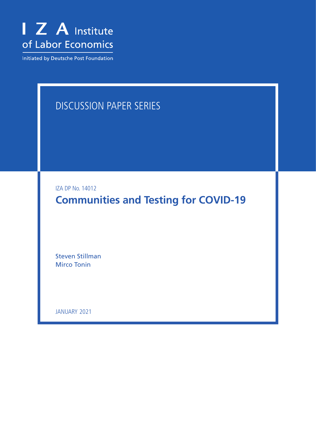

Initiated by Deutsche Post Foundation

## DISCUSSION PAPER SERIES

IZA DP No. 14012

**Communities and Testing for COVID-19**

Steven Stillman Mirco Tonin

JANUARY 2021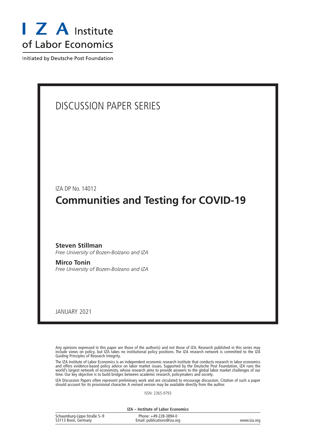

Initiated by Deutsche Post Foundation

# DISCUSSION PAPER SERIES IZA DP No. 14012 **Communities and Testing for COVID-19** JANUARY 2021 **Steven Stillman** *Free University of Bozen-Bolzano and IZA* **Mirco Tonin** *Free University of Bozen-Bolzano and IZA*

Any opinions expressed in this paper are those of the author(s) and not those of IZA. Research published in this series may include views on policy, but IZA takes no institutional policy positions. The IZA research network is committed to the IZA Guiding Principles of Research Integrity.

The IZA Institute of Labor Economics is an independent economic research institute that conducts research in labor economics and offers evidence-based policy advice on labor market issues. Supported by the Deutsche Post Foundation, IZA runs the world's largest network of economists, whose research aims to provide answers to the global labor market challenges of our time. Our key objective is to build bridges between academic research, policymakers and society.

IZA Discussion Papers often represent preliminary work and are circulated to encourage discussion. Citation of such a paper should account for its provisional character. A revised version may be available directly from the author.

ISSN: 2365-9793

**IZA – Institute of Labor Economics**

| Schaumburg-Lippe-Straße 5-9 | Phone: +49-228-3894-0       |             |
|-----------------------------|-----------------------------|-------------|
| 53113 Bonn, Germany         | Email: publications@iza.org | www.iza.org |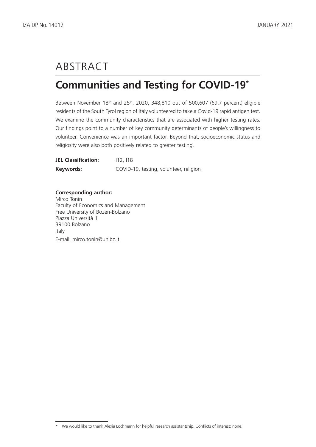# ABSTRACT

## **Communities and Testing for COVID-19\***

Between November  $18<sup>th</sup>$  and  $25<sup>th</sup>$ , 2020, 348,810 out of 500,607 (69.7 percent) eligible residents of the South Tyrol region of Italy volunteered to take a Covid-19 rapid antigen test. We examine the community characteristics that are associated with higher testing rates. Our findings point to a number of key community determinants of people's willingness to volunteer. Convenience was an important factor. Beyond that, socioeconomic status and religiosity were also both positively related to greater testing.

| <b>JEL Classification:</b> | 112.118                                |
|----------------------------|----------------------------------------|
| Keywords:                  | COVID-19, testing, volunteer, religion |

#### **Corresponding author:**

Mirco Tonin Faculty of Economics and Management Free University of Bozen-Bolzano Piazza Università 1 39100 Bolzano Italy E-mail: mirco.tonin@unibz.it

<sup>\*</sup> We would like to thank Alexia Lochmann for helpful research assistantship. Conflicts of interest: none.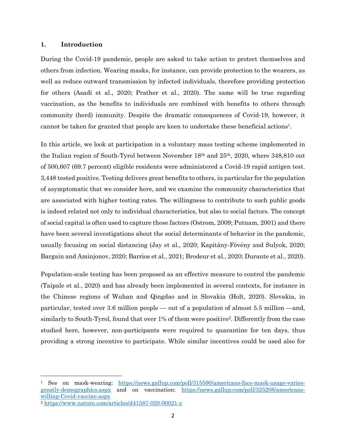#### **1. Introduction**

During the Covid-19 pandemic, people are asked to take action to protect themselves and others from infection. Wearing masks, for instance, can provide protection to the wearers, as well as reduce outward transmission by infected individuals, therefore providing protection for others (Asadi et al., 2020; Prather et al., 2020). The same will be true regarding vaccination, as the benefits to individuals are combined with benefits to others through community (herd) immunity. Despite the dramatic consequences of Covid-19, however, it cannot be taken for granted that people are keen to undertake these beneficial actions1.

In this article, we look at participation in a voluntary mass testing scheme implemented in the Italian region of South-Tyrol between November 18th and 25th, 2020, where 348,810 out of 500,607 (69.7 percent) eligible residents were administered a Covid-19 rapid antigen test. 3,448 tested positive. Testing delivers great benefits to others, in particular for the population of asymptomatic that we consider here, and we examine the community characteristics that are associated with higher testing rates. The willingness to contribute to such public goods is indeed related not only to individual characteristics, but also to social factors. The concept of social capital is often used to capture these factors (Ostrom, 2009; Putnam, 2001) and there have been several investigations about the social determinants of behavior in the pandemic, usually focusing on social distancing (Jay et al., 2020; Kapitány-Fövény and Sulyok, 2020; Bargain and Aminjonov, 2020; Barrios et al., 2021; Brodeur et al., 2020; Durante et al., 2020).

Population-scale testing has been proposed as an effective measure to control the pandemic (Taipale et al., 2020) and has already been implemented in several contexts, for instance in the Chinese regions of Wuhan and Qingdao and in Slovakia (Holt, 2020). Slovakia, in particular, tested over 3.6 million people — out of a population of almost 5.5 million —and, similarly to South-Tyrol, found that over 1% of them were positive<sup>2</sup>. Differently from the case studied here, however, non-participants were required to quarantine for ten days, thus providing a strong incentive to participate. While similar incentives could be used also for

<sup>1</sup> See on mask-wearing: https://news.gallup.com/poll/315590/americans-face-mask-usage-variesgreatly-demographics.aspx and on vaccination: https://news.gallup.com/poll/325208/americanswilling-Covid-vaccine.aspx

<sup>2</sup> https://www.nature.com/articles/d41587-020-00021-z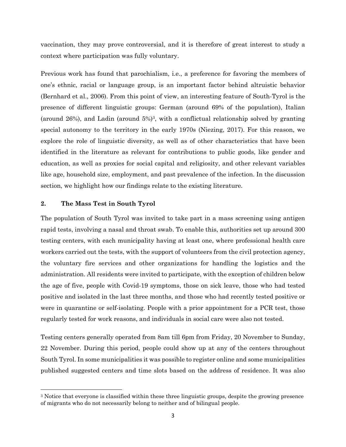vaccination, they may prove controversial, and it is therefore of great interest to study a context where participation was fully voluntary.

Previous work has found that parochialism, i.e., a preference for favoring the members of one's ethnic, racial or language group, is an important factor behind altruistic behavior (Bernhard et al., 2006). From this point of view, an interesting feature of South-Tyrol is the presence of different linguistic groups: German (around 69% of the population), Italian (around 26%), and Ladin (around  $5\%$ )<sup>3</sup>, with a conflictual relationship solved by granting special autonomy to the territory in the early 1970s (Niezing, 2017). For this reason, we explore the role of linguistic diversity, as well as of other characteristics that have been identified in the literature as relevant for contributions to public goods, like gender and education, as well as proxies for social capital and religiosity, and other relevant variables like age, household size, employment, and past prevalence of the infection. In the discussion section, we highlight how our findings relate to the existing literature.

#### **2. The Mass Test in South Tyrol**

The population of South Tyrol was invited to take part in a mass screening using antigen rapid tests, involving a nasal and throat swab. To enable this, authorities set up around 300 testing centers, with each municipality having at least one, where professional health care workers carried out the tests, with the support of volunteers from the civil protection agency, the voluntary fire services and other organizations for handling the logistics and the administration. All residents were invited to participate, with the exception of children below the age of five, people with Covid-19 symptoms, those on sick leave, those who had tested positive and isolated in the last three months, and those who had recently tested positive or were in quarantine or self-isolating. People with a prior appointment for a PCR test, those regularly tested for work reasons, and individuals in social care were also not tested.

Testing centers generally operated from 8am till 6pm from Friday, 20 November to Sunday, 22 November. During this period, people could show up at any of the centers throughout South Tyrol. In some municipalities it was possible to register online and some municipalities published suggested centers and time slots based on the address of residence. It was also

<sup>3</sup> Notice that everyone is classified within these three linguistic groups, despite the growing presence of migrants who do not necessarily belong to neither and of bilingual people.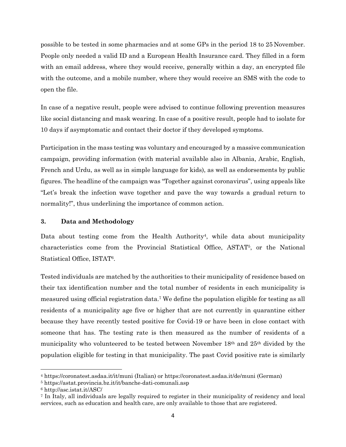possible to be tested in some pharmacies and at some GPs in the period 18 to 25 November. People only needed a valid ID and a European Health Insurance card. They filled in a form with an email address, where they would receive, generally within a day, an encrypted file with the outcome, and a mobile number, where they would receive an SMS with the code to open the file.

In case of a negative result, people were advised to continue following prevention measures like social distancing and mask wearing. In case of a positive result, people had to isolate for 10 days if asymptomatic and contact their doctor if they developed symptoms.

Participation in the mass testing was voluntary and encouraged by a massive communication campaign, providing information (with material available also in Albania, Arabic, English, French and Urdu, as well as in simple language for kids), as well as endorsements by public figures. The headline of the campaign was "Together against coronavirus", using appeals like "Let's break the infection wave together and pave the way towards a gradual return to normality!", thus underlining the importance of common action.

#### **3. Data and Methodology**

Data about testing come from the Health Authority<sup>4</sup>, while data about municipality characteristics come from the Provincial Statistical Office, ASTAT5, or the National Statistical Office, ISTAT6.

Tested individuals are matched by the authorities to their municipality of residence based on their tax identification number and the total number of residents in each municipality is measured using official registration data.7 We define the population eligible for testing as all residents of a municipality age five or higher that are not currently in quarantine either because they have recently tested positive for Covid-19 or have been in close contact with someone that has. The testing rate is then measured as the number of residents of a municipality who volunteered to be tested between November 18th and 25th divided by the population eligible for testing in that municipality. The past Covid positive rate is similarly

<sup>4</sup> https://coronatest.asdaa.it/it/muni (Italian) or https://coronatest.asdaa.it/de/muni (German)

<sup>5</sup> https://astat.provincia.bz.it/it/banche-dati-comunali.asp

<sup>6</sup> http://asc.istat.it/ASC/

<sup>7</sup> In Italy, all individuals are legally required to register in their municipality of residency and local services, such as education and health care, are only available to those that are registered.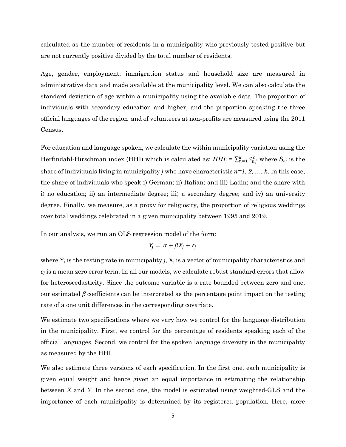calculated as the number of residents in a municipality who previously tested positive but are not currently positive divided by the total number of residents.

Age, gender, employment, immigration status and household size are measured in administrative data and made available at the municipality level. We can also calculate the standard deviation of age within a municipality using the available data. The proportion of individuals with secondary education and higher, and the proportion speaking the three official languages of the region and of volunteers at non-profits are measured using the 2011 Census.

For education and language spoken, we calculate the within municipality variation using the Herfindahl-Hirschman index (HHI) which is calculated as:  $HHJ_j = \sum_{n=1}^{k} S_{nj}^2$  where  $S_{nj}$  is the share of individuals living in municipality *j* who have characteristic *n=1, 2, …, k*. In this case, the share of individuals who speak i) German; ii) Italian; and iii) Ladin; and the share with i) no education; ii) an intermediate degree; iii) a secondary degree; and iv) an university degree. Finally, we measure, as a proxy for religiosity, the proportion of religious weddings over total weddings celebrated in a given municipality between 1995 and 2019.

In our analysis, we run an OLS regression model of the form:

$$
Y_j = \alpha + \beta X_j + \varepsilon_j
$$

where  $Y_j$  is the testing rate in municipality *j*,  $X_j$  is a vector of municipality characteristics and  $\varepsilon$ *j* is a mean zero error term. In all our models, we calculate robust standard errors that allow for heteroscedasticity. Since the outcome variable is a rate bounded between zero and one, our estimated  $\beta$  coefficients can be interpreted as the percentage point impact on the testing rate of a one unit differences in the corresponding covariate.

We estimate two specifications where we vary how we control for the language distribution in the municipality. First, we control for the percentage of residents speaking each of the official languages. Second, we control for the spoken language diversity in the municipality as measured by the HHI.

We also estimate three versions of each specification. In the first one, each municipality is given equal weight and hence given an equal importance in estimating the relationship between *X* and *Y*. In the second one, the model is estimated using weighted-GLS and the importance of each municipality is determined by its registered population. Here, more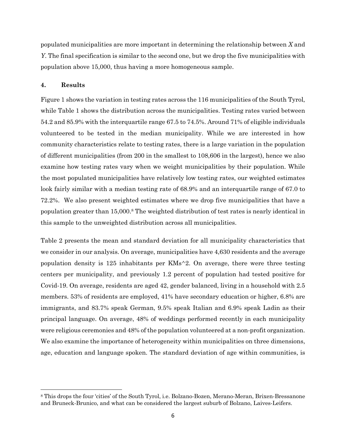populated municipalities are more important in determining the relationship between *X* and *Y*. The final specification is similar to the second one, but we drop the five municipalities with population above 15,000, thus having a more homogeneous sample.

#### **4. Results**

Figure 1 shows the variation in testing rates across the 116 municipalities of the South Tyrol, while Table 1 shows the distribution across the municipalities. Testing rates varied between 54.2 and 85.9% with the interquartile range 67.5 to 74.5%. Around 71% of eligible individuals volunteered to be tested in the median municipality. While we are interested in how community characteristics relate to testing rates, there is a large variation in the population of different municipalities (from 200 in the smallest to 108,606 in the largest), hence we also examine how testing rates vary when we weight municipalities by their population. While the most populated municipalities have relatively low testing rates, our weighted estimates look fairly similar with a median testing rate of 68.9% and an interquartile range of 67.0 to 72.2%. We also present weighted estimates where we drop five municipalities that have a population greater than 15,000.8 The weighted distribution of test rates is nearly identical in this sample to the unweighted distribution across all municipalities.

Table 2 presents the mean and standard deviation for all municipality characteristics that we consider in our analysis. On average, municipalities have 4,630 residents and the average population density is 125 inhabitants per KMs^2. On average, there were three testing centers per municipality, and previously 1.2 percent of population had tested positive for Covid-19. On average, residents are aged 42, gender balanced, living in a household with 2.5 members. 53% of residents are employed, 41% have secondary education or higher, 6.8% are immigrants, and 83.7% speak German, 9.5% speak Italian and 6.9% speak Ladin as their principal language. On average, 48% of weddings performed recently in each municipality were religious ceremonies and 48% of the population volunteered at a non-profit organization. We also examine the importance of heterogeneity within municipalities on three dimensions, age, education and language spoken. The standard deviation of age within communities, is

<sup>8</sup> This drops the four 'cities' of the South Tyrol, i.e. Bolzano-Bozen, Merano-Meran, Brixen-Bressanone and Bruneck-Brunico, and what can be considered the largest suburb of Bolzano, Laives-Leifers.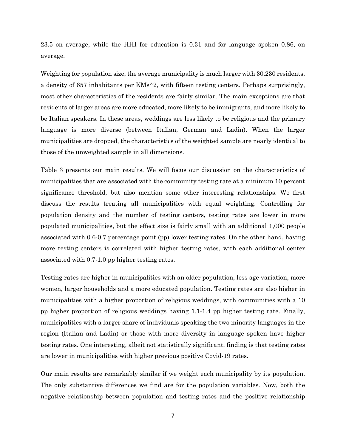23.5 on average, while the HHI for education is 0.31 and for language spoken 0.86, on average.

Weighting for population size, the average municipality is much larger with 30,230 residents, a density of 657 inhabitants per KMs^2, with fifteen testing centers. Perhaps surprisingly, most other characteristics of the residents are fairly similar. The main exceptions are that residents of larger areas are more educated, more likely to be immigrants, and more likely to be Italian speakers. In these areas, weddings are less likely to be religious and the primary language is more diverse (between Italian, German and Ladin). When the larger municipalities are dropped, the characteristics of the weighted sample are nearly identical to those of the unweighted sample in all dimensions.

Table 3 presents our main results. We will focus our discussion on the characteristics of municipalities that are associated with the community testing rate at a minimum 10 percent significance threshold, but also mention some other interesting relationships. We first discuss the results treating all municipalities with equal weighting. Controlling for population density and the number of testing centers, testing rates are lower in more populated municipalities, but the effect size is fairly small with an additional 1,000 people associated with 0.6-0.7 percentage point (pp) lower testing rates. On the other hand, having more testing centers is correlated with higher testing rates, with each additional center associated with 0.7-1.0 pp higher testing rates.

Testing rates are higher in municipalities with an older population, less age variation, more women, larger households and a more educated population. Testing rates are also higher in municipalities with a higher proportion of religious weddings, with communities with a 10 pp higher proportion of religious weddings having 1.1-1.4 pp higher testing rate. Finally, municipalities with a larger share of individuals speaking the two minority languages in the region (Italian and Ladin) or those with more diversity in language spoken have higher testing rates. One interesting, albeit not statistically significant, finding is that testing rates are lower in municipalities with higher previous positive Covid-19 rates.

Our main results are remarkably similar if we weight each municipality by its population. The only substantive differences we find are for the population variables. Now, both the negative relationship between population and testing rates and the positive relationship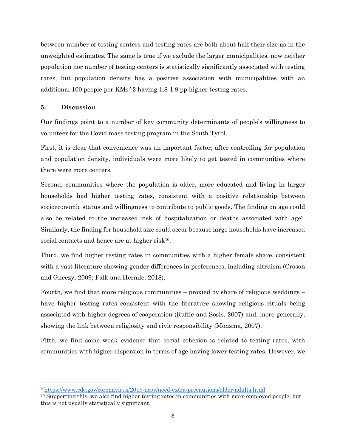between number of testing centers and testing rates are both about half their size as in the unweighted estimates. The same is true if we exclude the larger municipalities, now neither population nor number of testing centers is statistically significantly associated with testing rates, but population density has a positive association with municipalities with an additional 100 people per KMs^2 having 1.8-1.9 pp higher testing rates.

#### **5. Discussion**

Our findings point to a number of key community determinants of people's willingness to volunteer for the Covid mass testing program in the South Tyrol.

First, it is clear that convenience was an important factor; after controlling for population and population density, individuals were more likely to get tested in communities where there were more centers.

Second, communities where the population is older, more educated and living in larger households had higher testing rates, consistent with a positive relationship between socioeconomic status and willingness to contribute to public goods. The finding on age could also be related to the increased risk of hospitalization or deaths associated with age9. Similarly, the finding for household size could occur because large households have increased social contacts and hence are at higher risk $10$ .

Third, we find higher testing rates in communities with a higher female share, consistent with a vast literature showing gender differences in preferences, including altruism (Croson and Gneezy, 2009; Falk and Hermle, 2018).

Fourth, we find that more religious communities – proxied by share of religious weddings – have higher testing rates consistent with the literature showing religious rituals being associated with higher degrees of cooperation (Ruffle and Sosis, 2007) and, more generally, showing the link between religiosity and civic responsibility (Monsma, 2007).

Fifth, we find some weak evidence that social cohesion is related to testing rates, with communities with higher dispersion in terms of age having lower testing rates. However, we

<sup>9</sup> https://www.cdc.gov/coronavirus/2019-ncov/need-extra-precautions/older-adults.html

<sup>&</sup>lt;sup>10</sup> Supporting this, we also find higher testing rates in communities with more employed people, but this is not usually statistically significant.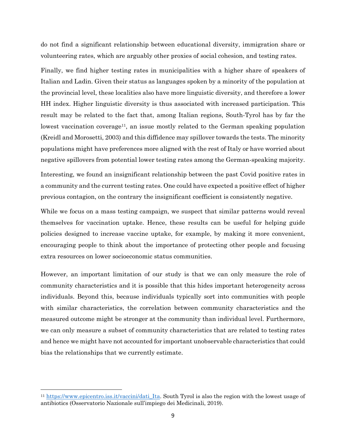do not find a significant relationship between educational diversity, immigration share or volunteering rates, which are arguably other proxies of social cohesion, and testing rates.

Finally, we find higher testing rates in municipalities with a higher share of speakers of Italian and Ladin. Given their status as languages spoken by a minority of the population at the provincial level, these localities also have more linguistic diversity, and therefore a lower HH index. Higher linguistic diversity is thus associated with increased participation. This result may be related to the fact that, among Italian regions, South-Tyrol has by far the lowest vaccination coverage<sup>11</sup>, an issue mostly related to the German speaking population (Kreidl and Morosetti, 2003) and this diffidence may spillover towards the tests. The minority populations might have preferences more aligned with the rest of Italy or have worried about negative spillovers from potential lower testing rates among the German-speaking majority.

Interesting, we found an insignificant relationship between the past Covid positive rates in a community and the current testing rates. One could have expected a positive effect of higher previous contagion, on the contrary the insignificant coefficient is consistently negative.

While we focus on a mass testing campaign, we suspect that similar patterns would reveal themselves for vaccination uptake. Hence, these results can be useful for helping guide policies designed to increase vaccine uptake, for example, by making it more convenient, encouraging people to think about the importance of protecting other people and focusing extra resources on lower socioeconomic status communities.

However, an important limitation of our study is that we can only measure the role of community characteristics and it is possible that this hides important heterogeneity across individuals. Beyond this, because individuals typically sort into communities with people with similar characteristics, the correlation between community characteristics and the measured outcome might be stronger at the community than individual level. Furthermore, we can only measure a subset of community characteristics that are related to testing rates and hence we might have not accounted for important unobservable characteristics that could bias the relationships that we currently estimate.

<sup>11</sup> https://www.epicentro.iss.it/vaccini/dati\_Ita. South Tyrol is also the region with the lowest usage of antibiotics (Osservatorio Nazionale sull'impiego dei Medicinali, 2019).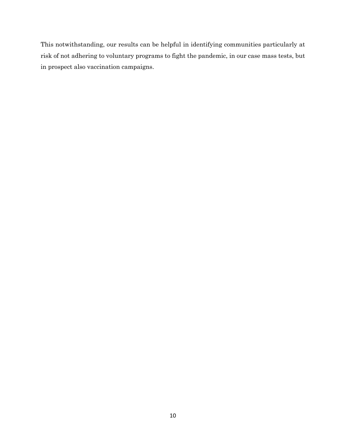This notwithstanding, our results can be helpful in identifying communities particularly at risk of not adhering to voluntary programs to fight the pandemic, in our case mass tests, but in prospect also vaccination campaigns.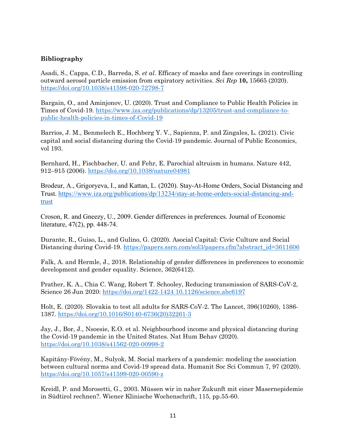### **Bibliography**

Asadi, S., Cappa, C.D., Barreda, S. *et al.* Efficacy of masks and face coverings in controlling outward aerosol particle emission from expiratory activities. *Sci Rep* **10,** 15665 (2020). https://doi.org/10.1038/s41598-020-72798-7

Bargain, O., and Aminjonov, U. (2020). Trust and Compliance to Public Health Policies in Times of Covid-19. https://www.iza.org/publications/dp/13205/trust-and-compliance-topublic-health-policies-in-times-of-Covid-19

Barrios, J. M., Benmelech E., Hochberg Y. V., Sapienza, P. and Zingales, L. (2021). Civic capital and social distancing during the Covid-19 pandemic. Journal of Public Economics, vol 193.

Bernhard, H., Fischbacher, U. and Fehr, E. Parochial altruism in humans. Nature 442, 912–915 (2006). https://doi.org/10.1038/nature04981

Brodeur, A., Grigoryeva, I., and Kattan, L. (2020). Stay-At-Home Orders, Social Distancing and Trust. https://www.iza.org/publications/dp/13234/stay-at-home-orders-social-distancing-andtrust

Croson, R. and Gneezy, U., 2009. Gender differences in preferences. Journal of Economic literature, 47(2), pp. 448-74.

Durante, R., Guiso, L., and Gulino, G. (2020). Asocial Capital: Civic Culture and Social Distancing during Covid-19. https://papers.ssrn.com/sol3/papers.cfm?abstract\_id=3611606

Falk, A. and Hermle, J., 2018. Relationship of gender differences in preferences to economic development and gender equality. Science, 362(6412).

Prather, K. A., Chia C. Wang, Robert T. Schooley, Reducing transmission of SARS-CoV-2, Science 26 Jun 2020: https://doi.org/1422-1424 10.1126/science.abc6197

Holt, E. (2020). Slovakia to test all adults for SARS-CoV-2. The Lancet, 396(10260), 1386- 1387. https://doi.org/10.1016/S0140-6736(20)32261-3

Jay, J., Bor, J., Nsoesie, E.O. et al. Neighbourhood income and physical distancing during the Covid-19 pandemic in the United States. Nat Hum Behav (2020). https://doi.org/10.1038/s41562-020-00998-2

Kapitány-Fövény, M., Sulyok, M. Social markers of a pandemic: modeling the association between cultural norms and Covid-19 spread data. Humanit Soc Sci Commun 7, 97 (2020). https://doi.org/10.1057/s41599-020-00590-z

Kreidl, P. and Morosetti, G., 2003. Müssen wir in naher Zukunft mit einer Masernepidemie in Südtirol rechnen?. Wiener Klinische Wochenschrift, 115, pp.55-60.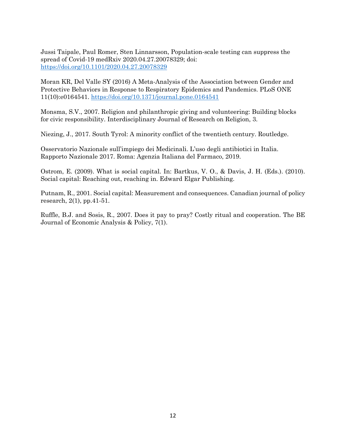Jussi Taipale, Paul Romer, Sten Linnarsson, Population-scale testing can suppress the spread of Covid-19 medRxiv 2020.04.27.20078329; doi: https://doi.org/10.1101/2020.04.27.20078329

Moran KR, Del Valle SY (2016) A Meta-Analysis of the Association between Gender and Protective Behaviors in Response to Respiratory Epidemics and Pandemics. PLoS ONE 11(10):e0164541. https://doi.org/10.1371/journal.pone.0164541

Monsma, S.V., 2007. Religion and philanthropic giving and volunteering: Building blocks for civic responsibility. Interdisciplinary Journal of Research on Religion, 3.

Niezing, J., 2017. South Tyrol: A minority conflict of the twentieth century. Routledge.

Osservatorio Nazionale sull'impiego dei Medicinali. L'uso degli antibiotici in Italia. Rapporto Nazionale 2017. Roma: Agenzia Italiana del Farmaco, 2019.

Ostrom, E. (2009). What is social capital. In: Bartkus, V. O., & Davis, J. H. (Eds.). (2010). Social capital: Reaching out, reaching in. Edward Elgar Publishing.

Putnam, R., 2001. Social capital: Measurement and consequences. Canadian journal of policy research, 2(1), pp.41-51.

Ruffle, B.J. and Sosis, R., 2007. Does it pay to pray? Costly ritual and cooperation. The BE Journal of Economic Analysis & Policy, 7(1).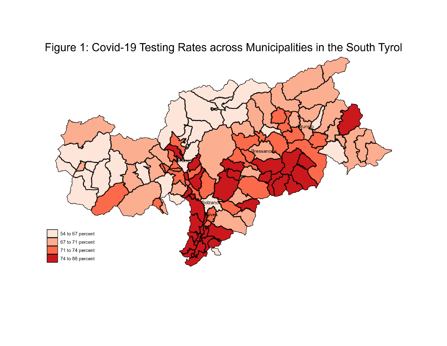Figure 1: Covid-19 Testing Rates across Municipalities in the South Tyrol

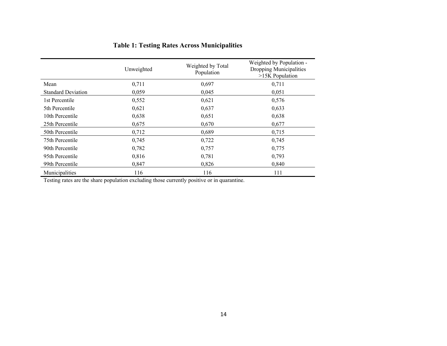|                           | Unweighted | Weighted by Total<br>Population | Weighted by Population -<br>Dropping Municipalities<br>>15K Population<br>0,711 |  |
|---------------------------|------------|---------------------------------|---------------------------------------------------------------------------------|--|
| Mean                      | 0,711      | 0,697                           |                                                                                 |  |
| <b>Standard Deviation</b> | 0,059      | 0,045                           | 0,051                                                                           |  |
| 1st Percentile            | 0,552      | 0,621                           | 0,576                                                                           |  |
| 5th Percentile            | 0,621      | 0,637                           | 0,633                                                                           |  |
| 10th Percentile           | 0,638      | 0,651                           | 0,638                                                                           |  |
| 25th Percentile           | 0,675      | 0,670                           | 0,677                                                                           |  |
| 50th Percentile           | 0,712      | 0,689                           | 0,715                                                                           |  |
| 75th Percentile           | 0,745      | 0,722                           | 0,745                                                                           |  |
| 90th Percentile           | 0,782      | 0,757                           | 0,775                                                                           |  |
| 95th Percentile           | 0,816      | 0,781                           | 0,793                                                                           |  |
| 99th Percentile           | 0,847      | 0,826                           | 0,840                                                                           |  |
| Municipalities            | 116        | 116                             | 111                                                                             |  |

## **Table 1: Testing Rates Across Municipalities**

Testing rates are the share population excluding those currently positive or in quarantine.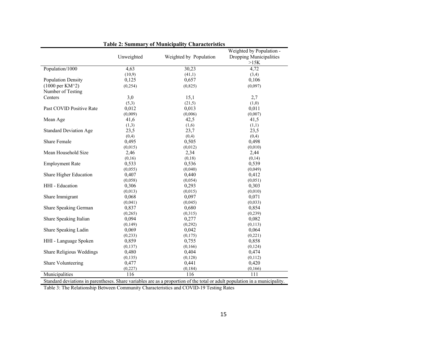|                               |            |                        | Weighted by Population - |  |
|-------------------------------|------------|------------------------|--------------------------|--|
|                               | Unweighted | Weighted by Population | Dropping Municipalities  |  |
|                               |            |                        | >15K                     |  |
| Population/1000               | 4,63       | 30,23                  | 4,72                     |  |
|                               | (10,9)     | (41,1)                 | (3,4)                    |  |
| <b>Population Density</b>     | 0,125      | 0,657                  | 0,106                    |  |
| $(1000 \text{ per KM}^2)$     | (0, 254)   | (0, 825)               | (0,097)                  |  |
| Number of Testing             |            |                        |                          |  |
| Centers                       | 3,0        | 15,1                   | 2,7                      |  |
|                               | (5,3)      | (21,5)                 | (1,0)                    |  |
| Past COVID Positive Rate      | 0,012      | 0,013                  | 0,011                    |  |
|                               | (0,009)    | (0,006)                | (0,007)                  |  |
| Mean Age                      | 41,6       | 42,5                   | 41,5                     |  |
|                               | (1,3)      | (1,6)                  | (1,1)                    |  |
| <b>Standard Deviation Age</b> | 23,5       | 23,7                   | 23,5                     |  |
|                               | (0,4)      | (0,4)                  | (0,4)                    |  |
| <b>Share Female</b>           | 0,495      | 0,505                  | 0,498                    |  |
|                               | (0,015)    | (0,012)                | (0,010)                  |  |
| Mean Household Size           | 2,46       | 2,34                   | 2,44                     |  |
|                               | (0,16)     | (0,18)                 | (0,14)                   |  |
| <b>Employment Rate</b>        | 0,533      | 0,536                  | 0,539                    |  |
|                               | (0,055)    | (0,040)                | (0,049)                  |  |
| Share Higher Education        | 0,407      | 0,440                  | 0,412                    |  |
|                               | (0,058)    | (0,054)                | (0,051)                  |  |
| HHI - Education               | 0,306      | 0,293                  | 0,303                    |  |
|                               | (0,013)    | (0,015)                | (0,010)                  |  |
| Share Immigrant               | 0,068      | 0,097                  | 0,071                    |  |
|                               | (0,041)    | (0,045)                | (0,033)                  |  |
| Share Speaking German         | 0,837      | 0,680                  | 0,854                    |  |
|                               | (0, 265)   | (0,315)                | (0,239)                  |  |
| Share Speaking Italian        | 0,094      | 0,277                  | 0,082                    |  |
|                               | (0, 149)   | (0, 292)               | (0,113)                  |  |
| Share Speaking Ladin          | 0,069      | 0,042                  | 0,064                    |  |
|                               | (0, 233)   | (0,175)                | (0,221)                  |  |
| HHI - Language Spoken         | 0,859      | 0,755                  | 0,858                    |  |
|                               | (0,137)    | (0,166)                | (0, 124)                 |  |
| Share Religious Weddings      | 0,480      | 0,404                  | 0,474                    |  |
|                               | (0, 135)   | (0,128)                | (0,112)                  |  |
| Share Volunteering            | 0,477      | 0,441                  | 0,420                    |  |
|                               | (0,227)    | (0, 184)               | (0, 166)                 |  |
| Municipalities                | 116        | 116                    | 111                      |  |

|  |  | <b>Table 2: Summary of Municipality Characteristics</b> |
|--|--|---------------------------------------------------------|
|  |  |                                                         |

Standard deviations in parentheses. Share variables are as a proportion of the total or adult population in a municipality.

Table 3: The Relationship Between Community Characteristics and COVID-19 Testing Rates